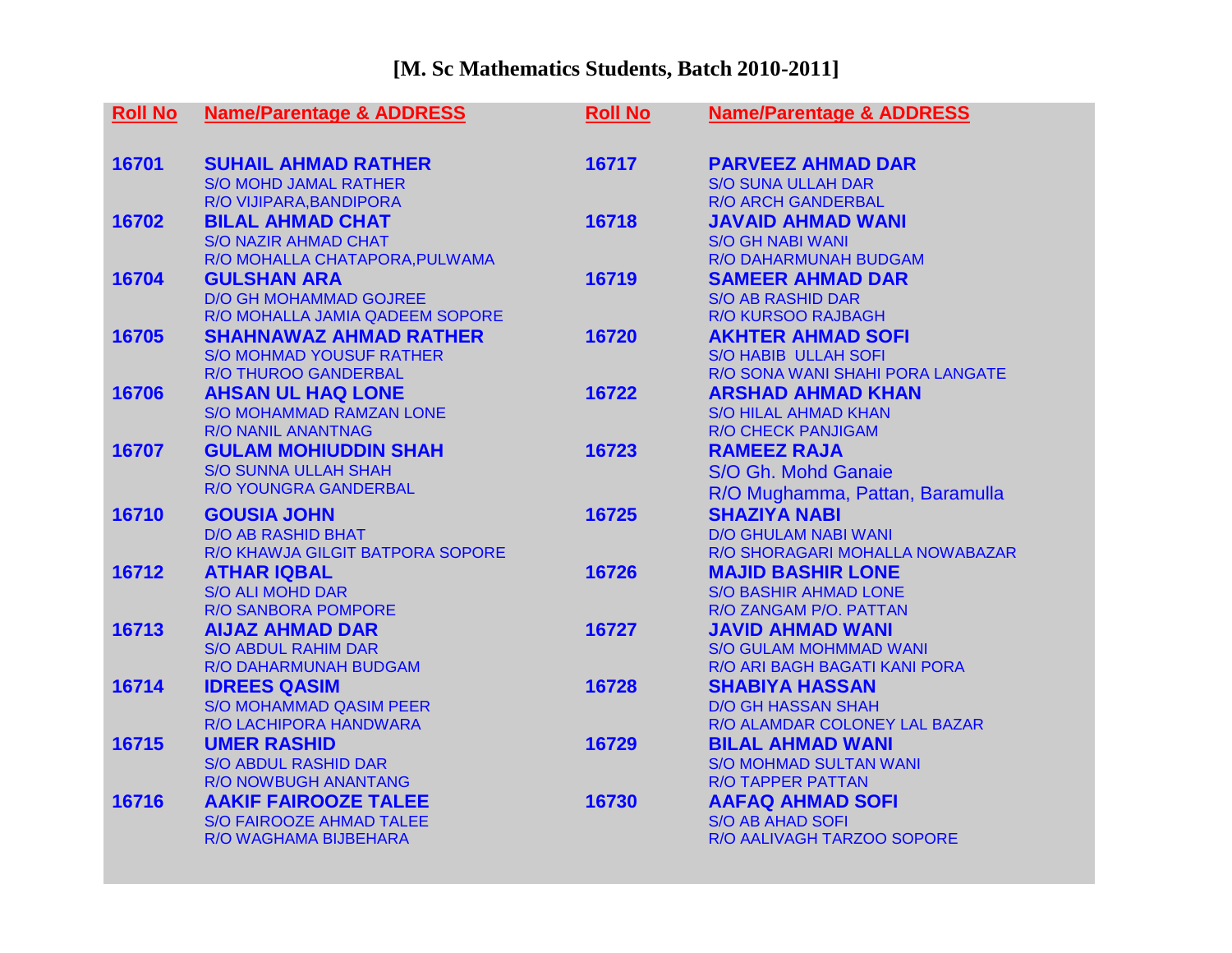## **[M. Sc Mathematics Students, Batch 2010-2011]**

| <b>Roll No</b> | <b>Name/Parentage &amp; ADDRESS</b>                      | <b>Roll No</b> | <b>Name/Parentage &amp; ADDRESS</b>                        |
|----------------|----------------------------------------------------------|----------------|------------------------------------------------------------|
| 16701          | <b>SUHAIL AHMAD RATHER</b>                               | 16717          | <b>PARVEEZ AHMAD DAR</b>                                   |
|                | <b>S/O MOHD JAMAL RATHER</b>                             |                | <b>S/O SUNA ULLAH DAR</b>                                  |
|                | R/O VIJIPARA, BANDIPORA                                  |                | <b>R/O ARCH GANDERBAL</b>                                  |
| 16702          | <b>BILAL AHMAD CHAT</b>                                  | 16718          | <b>JAVAID AHMAD WANI</b>                                   |
|                | <b>S/O NAZIR AHMAD CHAT</b>                              |                | <b>S/O GH NABI WANI</b><br>R/O DAHARMUNAH BUDGAM           |
| 16704          | R/O MOHALLA CHATAPORA, PULWAMA<br><b>GULSHAN ARA</b>     | 16719          | <b>SAMEER AHMAD DAR</b>                                    |
|                | <b>D/O GH MOHAMMAD GOJREE</b>                            |                | <b>S/O AB RASHID DAR</b>                                   |
|                | R/O MOHALLA JAMIA QADEEM SOPORE                          |                | <b>R/O KURSOO RAJBAGH</b>                                  |
| 16705          | <b>SHAHNAWAZ AHMAD RATHER</b>                            | 16720          | <b>AKHTER AHMAD SOFI</b>                                   |
|                | <b>S/O MOHMAD YOUSUF RATHER</b>                          |                | <b>S/O HABIB ULLAH SOFI</b>                                |
|                | <b>R/O THUROO GANDERBAL</b>                              |                | R/O SONA WANI SHAHI PORA LANGATE                           |
| 16706          | <b>AHSAN UL HAQ LONE</b>                                 | 16722          | <b>ARSHAD AHMAD KHAN</b>                                   |
|                | <b>S/O MOHAMMAD RAMZAN LONE</b>                          |                | <b>S/O HILAL AHMAD KHAN</b>                                |
|                | <b>R/O NANIL ANANTNAG</b>                                |                | <b>R/O CHECK PANJIGAM</b>                                  |
| 16707          | <b>GULAM MOHIUDDIN SHAH</b>                              | 16723          | <b>RAMEEZ RAJA</b>                                         |
|                | <b>S/O SUNNA ULLAH SHAH</b>                              |                | S/O Gh. Mohd Ganaie                                        |
|                | R/O YOUNGRA GANDERBAL                                    |                | R/O Mughamma, Pattan, Baramulla                            |
| 16710          | <b>GOUSIA JOHN</b>                                       | 16725          | <b>SHAZIYA NABI</b>                                        |
|                | <b>D/O AB RASHID BHAT</b>                                |                | <b>D/O GHULAM NABI WANI</b>                                |
|                | R/O KHAWJA GILGIT BATPORA SOPORE                         |                | R/O SHORAGARI MOHALLA NOWABAZAR                            |
| 16712          | <b>ATHAR IQBAL</b>                                       | 16726          | <b>MAJID BASHIR LONE</b>                                   |
|                | <b>S/O ALI MOHD DAR</b>                                  |                | <b>S/O BASHIR AHMAD LONE</b>                               |
|                | <b>R/O SANBORA POMPORE</b>                               |                | R/O ZANGAM P/O. PATTAN                                     |
| 16713          | <b>AIJAZ AHMAD DAR</b>                                   | 16727          | <b>JAVID AHMAD WANI</b>                                    |
|                | <b>S/O ABDUL RAHIM DAR</b>                               |                | <b>S/O GULAM MOHMMAD WANI</b>                              |
|                | R/O DAHARMUNAH BUDGAM                                    |                | R/O ARI BAGH BAGATI KANI PORA                              |
| 16714          | <b>IDREES QASIM</b>                                      | 16728          | <b>SHABIYA HASSAN</b>                                      |
|                | <b>S/O MOHAMMAD QASIM PEER</b><br>R/O LACHIPORA HANDWARA |                | <b>D/O GH HASSAN SHAH</b><br>R/O ALAMDAR COLONEY LAL BAZAR |
| 16715          | <b>UMER RASHID</b>                                       | 16729          | <b>BILAL AHMAD WANI</b>                                    |
|                | <b>S/O ABDUL RASHID DAR</b>                              |                | <b>S/O MOHMAD SULTAN WANI</b>                              |
|                | R/O NOWBUGH ANANTANG                                     |                | <b>R/O TAPPER PATTAN</b>                                   |
| 16716          | <b>AAKIF FAIROOZE TALEE</b>                              | 16730          | <b>AAFAQ AHMAD SOFI</b>                                    |
|                | <b>S/O FAIROOZE AHMAD TALEE</b>                          |                | <b>S/O AB AHAD SOFI</b>                                    |
|                | R/O WAGHAMA BIJBEHARA                                    |                | R/O AALIVAGH TARZOO SOPORE                                 |
|                |                                                          |                |                                                            |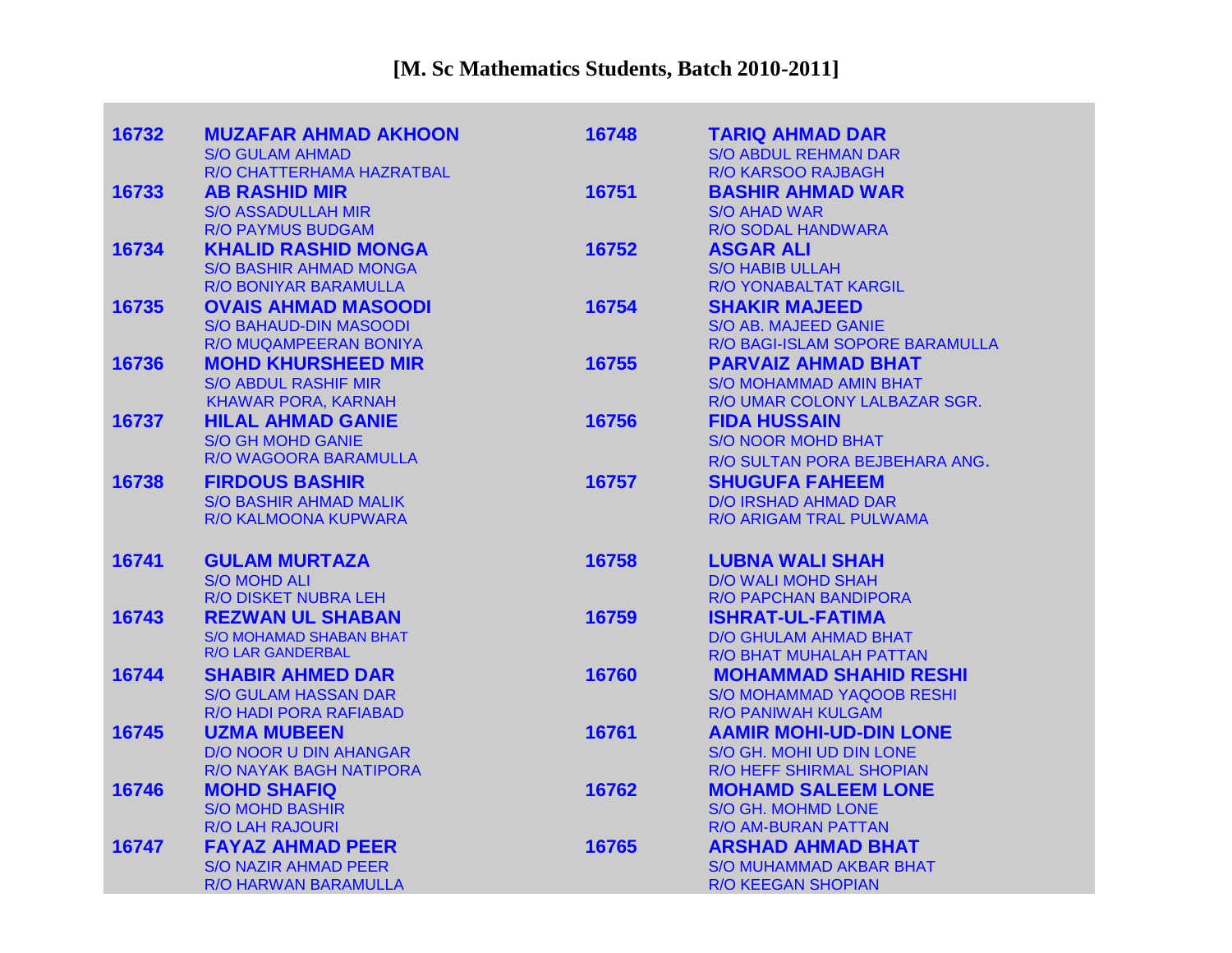| 16732 | <b>MUZAFAR AHMAD AKHOON</b>    | 16748 | <b>TARIQ AHMAD DAR</b>           |
|-------|--------------------------------|-------|----------------------------------|
|       | <b>S/O GULAM AHMAD</b>         |       | <b>S/O ABDUL REHMAN DAR</b>      |
|       | R/O CHATTERHAMA HAZRATBAL      |       | <b>R/O KARSOO RAJBAGH</b>        |
| 16733 | <b>AB RASHID MIR</b>           | 16751 | <b>BASHIR AHMAD WAR</b>          |
|       | <b>S/O ASSADULLAH MIR</b>      |       | <b>S/O AHAD WAR</b>              |
|       | <b>R/O PAYMUS BUDGAM</b>       |       | <b>R/O SODAL HANDWARA</b>        |
| 16734 | <b>KHALID RASHID MONGA</b>     | 16752 | <b>ASGAR ALI</b>                 |
|       | <b>S/O BASHIR AHMAD MONGA</b>  |       | <b>S/O HABIB ULLAH</b>           |
|       | R/O BONIYAR BARAMULLA          |       | R/O YONABALTAT KARGIL            |
| 16735 | <b>OVAIS AHMAD MASOODI</b>     | 16754 | <b>SHAKIR MAJEED</b>             |
|       | <b>S/O BAHAUD-DIN MASOODI</b>  |       | <b>S/O AB. MAJEED GANIE</b>      |
|       | R/O MUQAMPEERAN BONIYA         |       | R/O BAGI-ISLAM SOPORE BARAMULLA  |
| 16736 | <b>MOHD KHURSHEED MIR</b>      | 16755 | <b>PARVAIZ AHMAD BHAT</b>        |
|       | <b>S/O ABDUL RASHIF MIR</b>    |       | <b>S/O MOHAMMAD AMIN BHAT</b>    |
|       | <b>KHAWAR PORA, KARNAH</b>     |       | R/O UMAR COLONY LALBAZAR SGR.    |
| 16737 | <b>HILAL AHMAD GANIE</b>       | 16756 | <b>FIDA HUSSAIN</b>              |
|       | <b>S/O GH MOHD GANIE</b>       |       | <b>S/O NOOR MOHD BHAT</b>        |
|       | R/O WAGOORA BARAMULLA          |       | R/O SULTAN PORA BEJBEHARA ANG.   |
| 16738 | <b>FIRDOUS BASHIR</b>          | 16757 | <b>SHUGUFA FAHEEM</b>            |
|       | <b>S/O BASHIR AHMAD MALIK</b>  |       | <b>D/O IRSHAD AHMAD DAR</b>      |
|       | R/O KALMOONA KUPWARA           |       | R/O ARIGAM TRAL PULWAMA          |
| 16741 | <b>GULAM MURTAZA</b>           | 16758 | <b>LUBNA WALI SHAH</b>           |
|       | <b>S/O MOHD ALI</b>            |       | <b>D/O WALI MOHD SHAH</b>        |
|       | R/O DISKET NUBRA LEH           |       | R/O PAPCHAN BANDIPORA            |
| 16743 | <b>REZWAN UL SHABAN</b>        | 16759 | <b>ISHRAT-UL-FATIMA</b>          |
|       | <b>S/O MOHAMAD SHABAN BHAT</b> |       | <b>D/O GHULAM AHMAD BHAT</b>     |
|       | R/O LAR GANDERBAL              |       | R/O BHAT MUHALAH PATTAN          |
| 16744 | <b>SHABIR AHMED DAR</b>        | 16760 | <b>MOHAMMAD SHAHID RESHI</b>     |
|       | <b>S/O GULAM HASSAN DAR</b>    |       | <b>S/O MOHAMMAD YAQOOB RESHI</b> |
|       | R/O HADI PORA RAFIABAD         |       | <b>R/O PANIWAH KULGAM</b>        |
| 16745 | <b>UZMA MUBEEN</b>             | 16761 | <b>AAMIR MOHI-UD-DIN LONE</b>    |
|       | <b>D/O NOOR U DIN AHANGAR</b>  |       | S/O GH. MOHI UD DIN LONE         |
|       | R/O NAYAK BAGH NATIPORA        |       | <b>R/O HEFF SHIRMAL SHOPIAN</b>  |
| 16746 | <b>MOHD SHAFIQ</b>             | 16762 | <b>MOHAMD SALEEM LONE</b>        |
|       | <b>S/O MOHD BASHIR</b>         |       | S/O GH. MOHMD LONE               |
|       | <b>R/O LAH RAJOURI</b>         |       | R/O AM-BURAN PATTAN              |
| 16747 | <b>FAYAZ AHMAD PEER</b>        | 16765 | <b>ARSHAD AHMAD BHAT</b>         |
|       | <b>S/O NAZIR AHMAD PEER</b>    |       | <b>S/O MUHAMMAD AKBAR BHAT</b>   |
|       | R/O HARWAN BARAMULLA           |       | <b>R/O KEEGAN SHOPIAN</b>        |